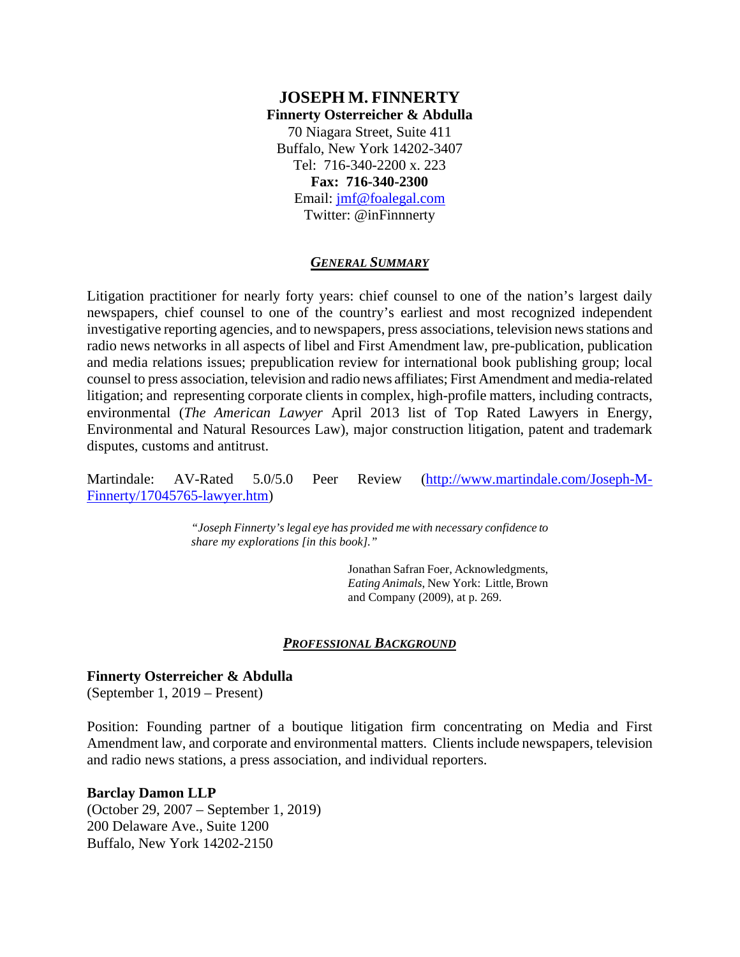## **JOSEPH M. FINNERTY Finnerty Osterreicher & Abdulla** 70 Niagara Street, Suite 411 Buffalo, New York 14202-3407 Tel: 716-340-2200 x. 223 **Fax: 716-340-2300**  Email: jmf@foalegal.com Twitter: @inFinnnerty

#### *GENERAL SUMMARY*

Litigation practitioner for nearly forty years: chief counsel to one of the nation's largest daily newspapers, chief counsel to one of the country's earliest and most recognized independent investigative reporting agencies, and to newspapers, press associations, television news stations and radio news networks in all aspects of libel and First Amendment law, pre-publication, publication and media relations issues; prepublication review for international book publishing group; local counsel to press association, television and radio news affiliates; First Amendment and media-related litigation; and representing corporate clients in complex, high-profile matters, including contracts, environmental (*The American Lawyer* April 2013 list of Top Rated Lawyers in Energy, Environmental and Natural Resources Law), major construction litigation, patent and trademark disputes, customs and antitrust.

Martindale: AV-Rated 5.0/5.0 Peer Review (http://www.martindale.com/Joseph-M-Finnerty/17045765-lawyer.htm)

> *"Joseph Finnerty's legal eye has provided me with necessary confidence to share my explorations [in this book]."*

> > Jonathan Safran Foer, Acknowledgments, *Eating Animals*, New York: Little, Brown and Company (2009), at p. 269.

#### *PROFESSIONAL BACKGROUND*

#### **Finnerty Osterreicher & Abdulla**

(September 1, 2019 – Present)

Position: Founding partner of a boutique litigation firm concentrating on Media and First Amendment law, and corporate and environmental matters. Clients include newspapers, television and radio news stations, a press association, and individual reporters.

#### **Barclay Damon LLP**

(October 29, 2007 – September 1, 2019) 200 Delaware Ave., Suite 1200 Buffalo, New York 14202-2150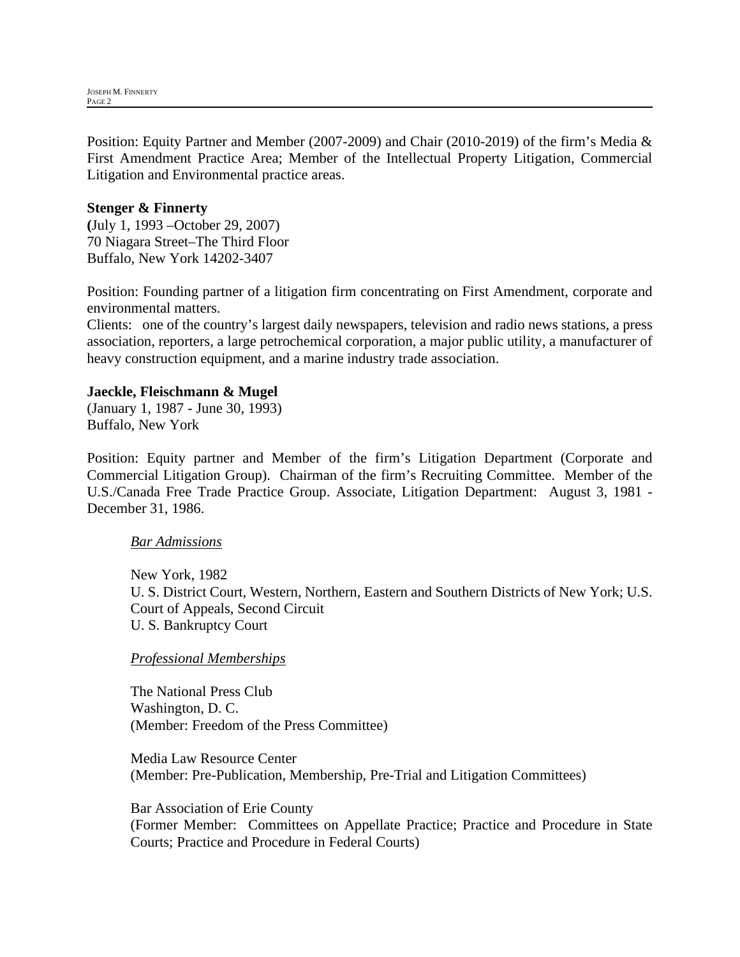Position: Equity Partner and Member (2007-2009) and Chair (2010-2019) of the firm's Media & First Amendment Practice Area; Member of the Intellectual Property Litigation, Commercial Litigation and Environmental practice areas.

### **Stenger & Finnerty**

**(**July 1, 1993 –October 29, 2007) 70 Niagara Street–The Third Floor Buffalo, New York 14202-3407

Position: Founding partner of a litigation firm concentrating on First Amendment, corporate and environmental matters.

Clients: one of the country's largest daily newspapers, television and radio news stations, a press association, reporters, a large petrochemical corporation, a major public utility, a manufacturer of heavy construction equipment, and a marine industry trade association.

### **Jaeckle, Fleischmann & Mugel**

(January 1, 1987 - June 30, 1993) Buffalo, New York

Position: Equity partner and Member of the firm's Litigation Department (Corporate and Commercial Litigation Group). Chairman of the firm's Recruiting Committee. Member of the U.S./Canada Free Trade Practice Group. Associate, Litigation Department: August 3, 1981 - December 31, 1986.

#### *Bar Admissions*

New York, 1982 U. S. District Court, Western, Northern, Eastern and Southern Districts of New York; U.S. Court of Appeals, Second Circuit U. S. Bankruptcy Court

#### *Professional Memberships*

The National Press Club Washington, D. C. (Member: Freedom of the Press Committee)

Media Law Resource Center (Member: Pre-Publication, Membership, Pre-Trial and Litigation Committees)

Bar Association of Erie County (Former Member: Committees on Appellate Practice; Practice and Procedure in State Courts; Practice and Procedure in Federal Courts)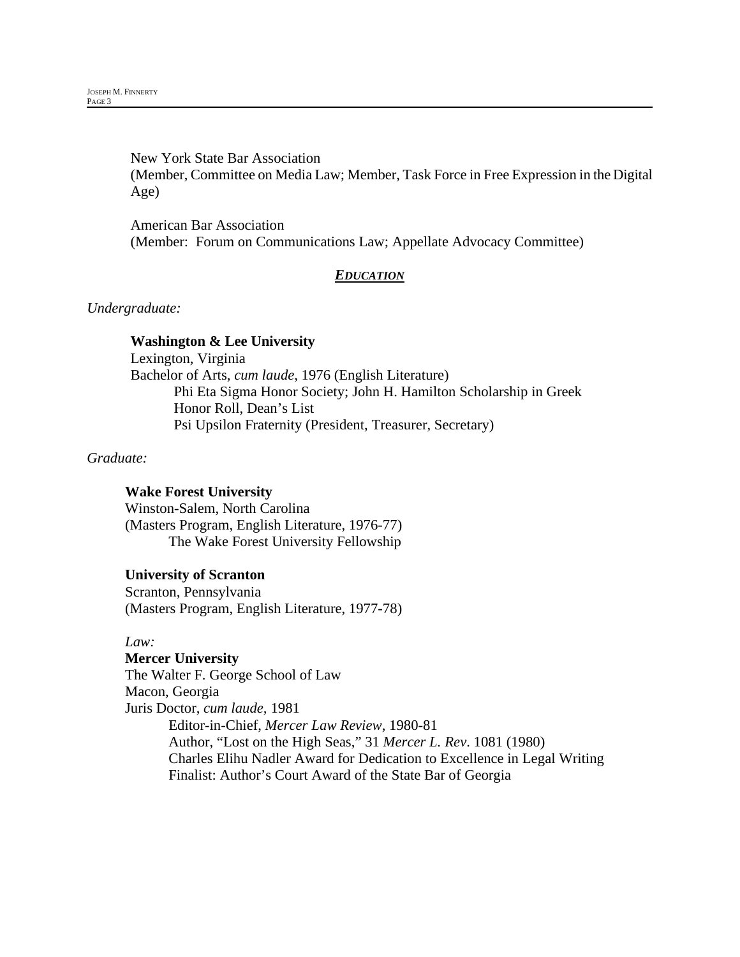New York State Bar Association (Member, Committee on Media Law; Member, Task Force in Free Expression in the Digital Age)

American Bar Association (Member: Forum on Communications Law; Appellate Advocacy Committee)

## *EDUCATION*

### *Undergraduate:*

#### **Washington & Lee University**

Lexington, Virginia Bachelor of Arts, *cum laude*, 1976 (English Literature) Phi Eta Sigma Honor Society; John H. Hamilton Scholarship in Greek Honor Roll, Dean's List Psi Upsilon Fraternity (President, Treasurer, Secretary)

### *Graduate:*

## **Wake Forest University**

Winston-Salem, North Carolina (Masters Program, English Literature, 1976-77) The Wake Forest University Fellowship

#### **University of Scranton**

Scranton, Pennsylvania (Masters Program, English Literature, 1977-78)

#### *Law:*

**Mercer University** The Walter F. George School of Law Macon, Georgia Juris Doctor, *cum laude,* 1981 Editor-in-Chief, *Mercer Law Review*, 1980-81 Author, "Lost on the High Seas," 31 *Mercer L. Rev*. 1081 (1980) Charles Elihu Nadler Award for Dedication to Excellence in Legal Writing Finalist: Author's Court Award of the State Bar of Georgia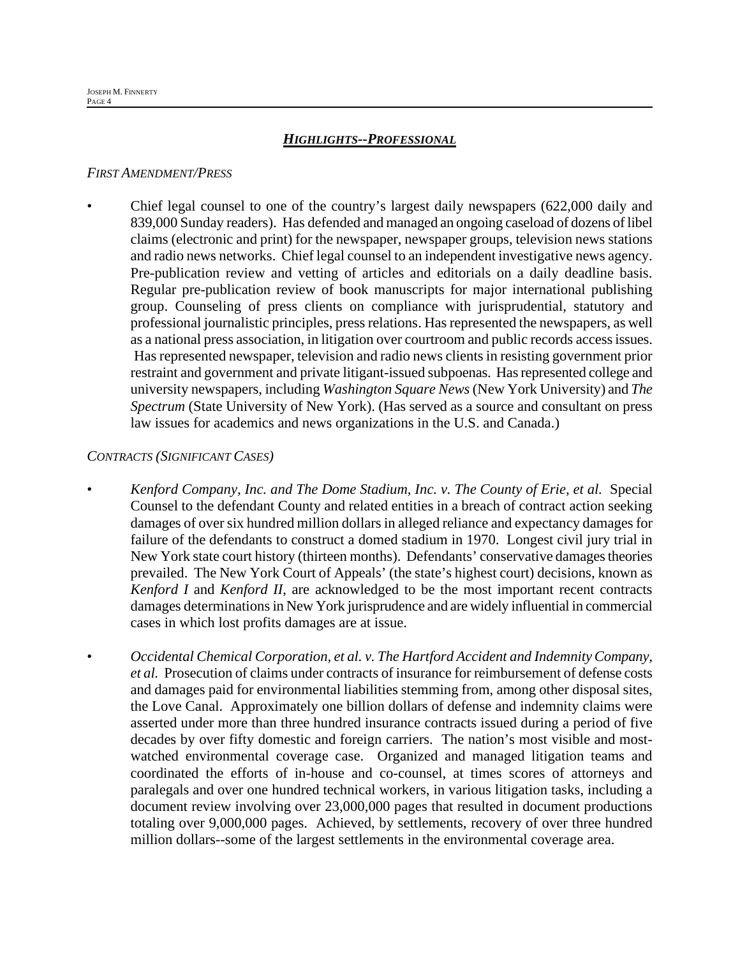### *HIGHLIGHTS--PROFESSIONAL*

#### *FIRST AMENDMENT/PRESS*

• Chief legal counsel to one of the country's largest daily newspapers (622,000 daily and 839,000 Sunday readers). Has defended and managed an ongoing caseload of dozens of libel claims (electronic and print) for the newspaper, newspaper groups, television news stations and radio news networks. Chief legal counsel to an independent investigative news agency. Pre-publication review and vetting of articles and editorials on a daily deadline basis. Regular pre-publication review of book manuscripts for major international publishing group. Counseling of press clients on compliance with jurisprudential, statutory and professional journalistic principles, press relations. Has represented the newspapers, as well as a national press association, in litigation over courtroom and public records access issues. Has represented newspaper, television and radio news clients in resisting government prior restraint and government and private litigant-issued subpoenas. Has represented college and university newspapers, including *Washington Square News* (New York University) and *The Spectrum* (State University of New York). (Has served as a source and consultant on press law issues for academics and news organizations in the U.S. and Canada.)

### *CONTRACTS (SIGNIFICANT CASES)*

- *Kenford Company, Inc. and The Dome Stadium, Inc. v. The County of Erie, et al.* Special Counsel to the defendant County and related entities in a breach of contract action seeking damages of over six hundred million dollars in alleged reliance and expectancy damages for failure of the defendants to construct a domed stadium in 1970. Longest civil jury trial in New York state court history (thirteen months). Defendants' conservative damages theories prevailed. The New York Court of Appeals' (the state's highest court) decisions, known as *Kenford I* and *Kenford II*, are acknowledged to be the most important recent contracts damages determinations in New York jurisprudence and are widely influential in commercial cases in which lost profits damages are at issue.
	- *Occidental Chemical Corporation, et al. v. The Hartford Accident and Indemnity Company, et al.* Prosecution of claims under contracts of insurance for reimbursement of defense costs and damages paid for environmental liabilities stemming from, among other disposal sites, the Love Canal. Approximately one billion dollars of defense and indemnity claims were asserted under more than three hundred insurance contracts issued during a period of five decades by over fifty domestic and foreign carriers. The nation's most visible and mostwatched environmental coverage case. Organized and managed litigation teams and coordinated the efforts of in-house and co-counsel, at times scores of attorneys and paralegals and over one hundred technical workers, in various litigation tasks, including a document review involving over 23,000,000 pages that resulted in document productions totaling over 9,000,000 pages. Achieved, by settlements, recovery of over three hundred million dollars--some of the largest settlements in the environmental coverage area.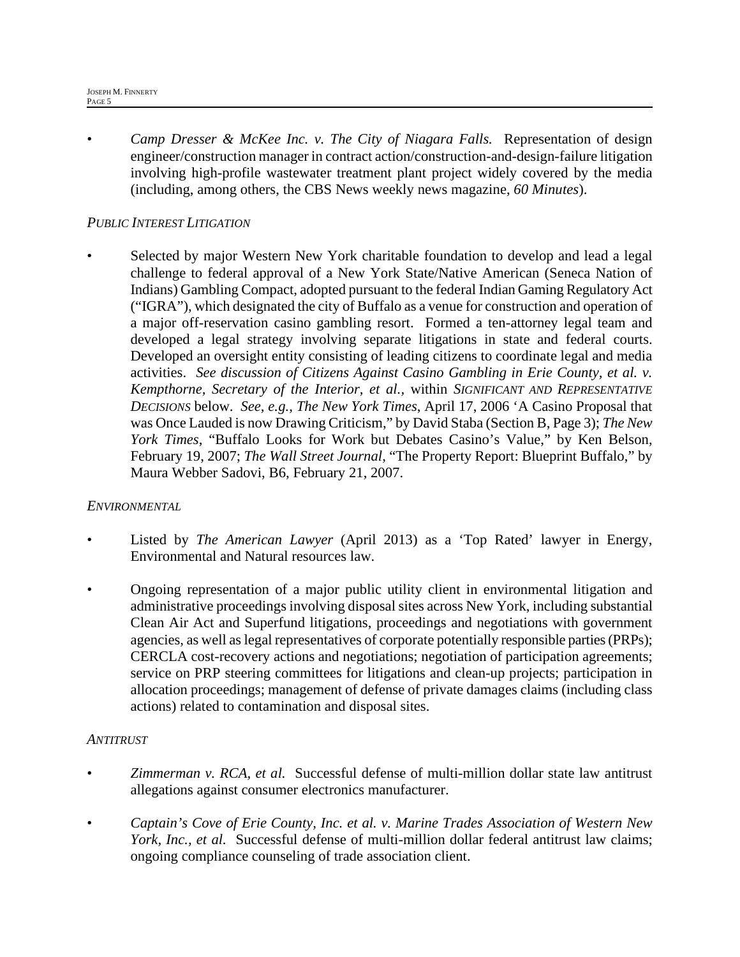• *Camp Dresser & McKee Inc. v. The City of Niagara Falls.* Representation of design engineer/construction manager in contract action/construction-and-design-failure litigation involving high-profile wastewater treatment plant project widely covered by the media (including, among others, the CBS News weekly news magazine, *60 Minutes*).

# *PUBLIC INTEREST LITIGATION*

Selected by major Western New York charitable foundation to develop and lead a legal challenge to federal approval of a New York State/Native American (Seneca Nation of Indians) Gambling Compact, adopted pursuant to the federal Indian Gaming Regulatory Act ("IGRA"), which designated the city of Buffalo as a venue for construction and operation of a major off-reservation casino gambling resort. Formed a ten-attorney legal team and developed a legal strategy involving separate litigations in state and federal courts. Developed an oversight entity consisting of leading citizens to coordinate legal and media activities. *See discussion of Citizens Against Casino Gambling in Erie County, et al. v. Kempthorne, Secretary of the Interior, et al.,* within *SIGNIFICANT AND REPRESENTATIVE DECISIONS* below. *See, e.g., The New York Times*, April 17, 2006 'A Casino Proposal that was Once Lauded is now Drawing Criticism," by David Staba (Section B, Page 3); *The New York Times*, "Buffalo Looks for Work but Debates Casino's Value," by Ken Belson, February 19, 2007; *The Wall Street Journal*, "The Property Report: Blueprint Buffalo," by Maura Webber Sadovi, B6, February 21, 2007.

## *ENVIRONMENTAL*

- Listed by *The American Lawyer* (April 2013) as a 'Top Rated' lawyer in Energy, Environmental and Natural resources law.
- Ongoing representation of a major public utility client in environmental litigation and administrative proceedings involving disposal sites across New York, including substantial Clean Air Act and Superfund litigations, proceedings and negotiations with government agencies, as well as legal representatives of corporate potentially responsible parties (PRPs); CERCLA cost-recovery actions and negotiations; negotiation of participation agreements; service on PRP steering committees for litigations and clean-up projects; participation in allocation proceedings; management of defense of private damages claims (including class actions) related to contamination and disposal sites.

## *ANTITRUST*

- *Zimmerman v. RCA, et al.* Successful defense of multi-million dollar state law antitrust allegations against consumer electronics manufacturer.
- *Captain's Cove of Erie County, Inc. et al. v. Marine Trades Association of Western New York, Inc., et al.* Successful defense of multi-million dollar federal antitrust law claims; ongoing compliance counseling of trade association client.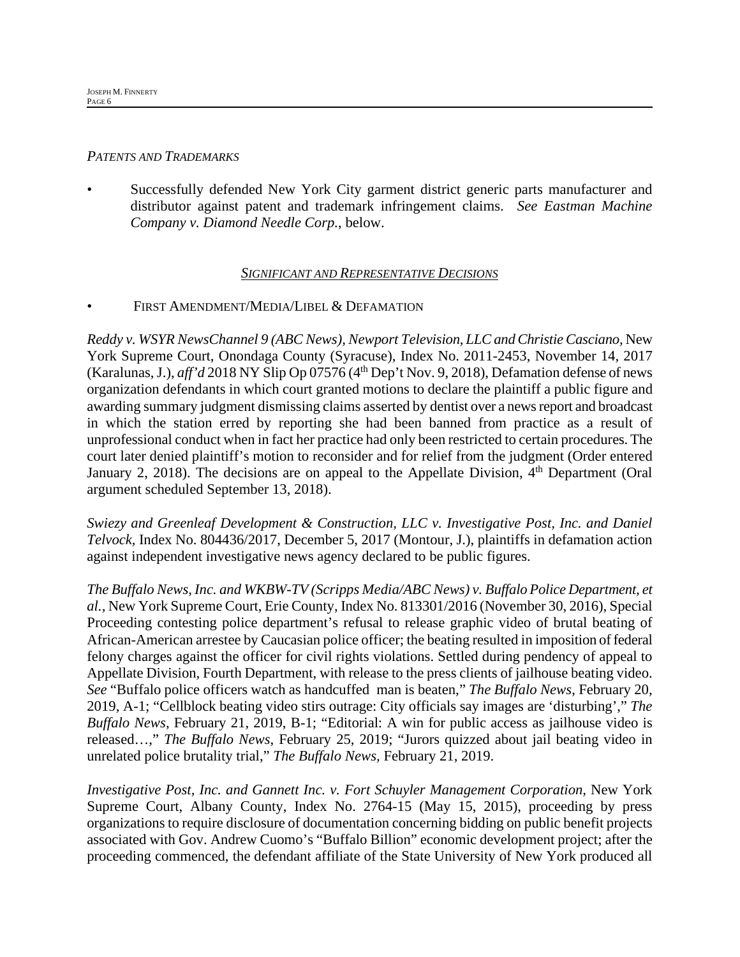#### *PATENTS AND TRADEMARKS*

Successfully defended New York City garment district generic parts manufacturer and distributor against patent and trademark infringement claims. *See Eastman Machine Company v. Diamond Needle Corp.*, below.

### *SIGNIFICANT AND REPRESENTATIVE DECISIONS*

### FIRST AMENDMENT/MEDIA/LIBEL & DEFAMATION

*Reddy v. WSYR NewsChannel 9 (ABC News), Newport Television, LLC and Christie Casciano,* New York Supreme Court, Onondaga County (Syracuse), Index No. 2011-2453, November 14, 2017 (Karalunas, J.), *aff'd* 2018 NY Slip Op 07576 (4<sup>th</sup> Dep't Nov. 9, 2018), Defamation defense of news organization defendants in which court granted motions to declare the plaintiff a public figure and awarding summary judgment dismissing claims asserted by dentist over a news report and broadcast in which the station erred by reporting she had been banned from practice as a result of unprofessional conduct when in fact her practice had only been restricted to certain procedures. The court later denied plaintiff's motion to reconsider and for relief from the judgment (Order entered January 2, 2018). The decisions are on appeal to the Appellate Division,  $4<sup>th</sup>$  Department (Oral argument scheduled September 13, 2018).

*Swiezy and Greenleaf Development & Construction, LLC v. Investigative Post, Inc. and Daniel Telvock,* Index No. 804436/2017, December 5, 2017 (Montour, J.), plaintiffs in defamation action against independent investigative news agency declared to be public figures.

*The Buffalo News, Inc. and WKBW-TV (Scripps Media/ABC News) v. Buffalo Police Department, et al.,* New York Supreme Court, Erie County, Index No. 813301/2016 (November 30, 2016), Special Proceeding contesting police department's refusal to release graphic video of brutal beating of African-American arrestee by Caucasian police officer; the beating resulted in imposition of federal felony charges against the officer for civil rights violations. Settled during pendency of appeal to Appellate Division, Fourth Department, with release to the press clients of jailhouse beating video. *See* "Buffalo police officers watch as handcuffed man is beaten," *The Buffalo News*, February 20, 2019, A-1; "Cellblock beating video stirs outrage: City officials say images are 'disturbing'," *The Buffalo News*, February 21, 2019, B-1; "Editorial: A win for public access as jailhouse video is released…," *The Buffalo News*, February 25, 2019; "Jurors quizzed about jail beating video in unrelated police brutality trial," *The Buffalo News,* February 21, 2019.

*Investigative Post, Inc. and Gannett Inc. v. Fort Schuyler Management Corporation,* New York Supreme Court, Albany County, Index No. 2764-15 (May 15, 2015), proceeding by press organizations to require disclosure of documentation concerning bidding on public benefit projects associated with Gov. Andrew Cuomo's "Buffalo Billion" economic development project; after the proceeding commenced, the defendant affiliate of the State University of New York produced all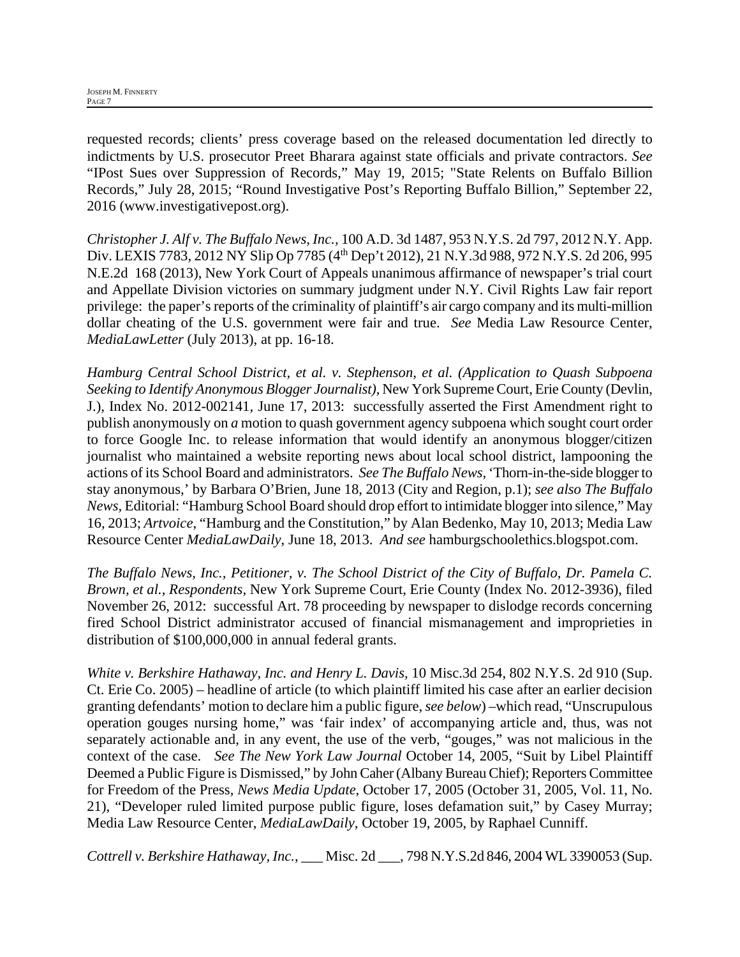requested records; clients' press coverage based on the released documentation led directly to indictments by U.S. prosecutor Preet Bharara against state officials and private contractors. *See* "IPost Sues over Suppression of Records," May 19, 2015; "State Relents on Buffalo Billion Records," July 28, 2015; "Round Investigative Post's Reporting Buffalo Billion," September 22, 2016 (www.investigativepost.org).

*Christopher J. Alf v. The Buffalo News, Inc.,* 100 A.D. 3d 1487, 953 N.Y.S. 2d 797, 2012 N.Y. App. Div. LEXIS 7783, 2012 NY Slip Op 7785 (4<sup>th</sup> Dep't 2012), 21 N.Y.3d 988, 972 N.Y.S. 2d 206, 995 N.E.2d 168 (2013), New York Court of Appeals unanimous affirmance of newspaper's trial court and Appellate Division victories on summary judgment under N.Y. Civil Rights Law fair report privilege: the paper's reports of the criminality of plaintiff's air cargo company and its multi-million dollar cheating of the U.S. government were fair and true. *See* Media Law Resource Center, *MediaLawLetter* (July 2013), at pp. 16-18.

*Hamburg Central School District, et al. v. Stephenson, et al. (Application to Quash Subpoena Seeking to Identify Anonymous Blogger Journalist)*, New York Supreme Court, Erie County (Devlin, J.), Index No. 2012-002141, June 17, 2013: successfully asserted the First Amendment right to publish anonymously on *a* motion to quash government agency subpoena which sought court order to force Google Inc. to release information that would identify an anonymous blogger/citizen journalist who maintained a website reporting news about local school district, lampooning the actions of its School Board and administrators. *See The Buffalo News,* 'Thorn-in-the-side blogger to stay anonymous,' by Barbara O'Brien, June 18, 2013 (City and Region, p.1); *see also The Buffalo News,* Editorial: "Hamburg School Board should drop effort to intimidate blogger into silence," May 16, 2013; *Artvoice*, "Hamburg and the Constitution," by Alan Bedenko, May 10, 2013; Media Law Resource Center *MediaLawDaily*, June 18, 2013. *And see* hamburgschoolethics.blogspot.com.

*The Buffalo News, Inc., Petitioner, v. The School District of the City of Buffalo, Dr. Pamela C. Brown, et al., Respondents,* New York Supreme Court, Erie County (Index No. 2012-3936), filed November 26, 2012: successful Art. 78 proceeding by newspaper to dislodge records concerning fired School District administrator accused of financial mismanagement and improprieties in distribution of \$100,000,000 in annual federal grants.

*White v. Berkshire Hathaway, Inc. and Henry L. Davis,* 10 Misc.3d 254, 802 N.Y.S. 2d 910 (Sup. Ct. Erie Co. 2005) – headline of article (to which plaintiff limited his case after an earlier decision granting defendants' motion to declare him a public figure, *see below*) –which read, "Unscrupulous operation gouges nursing home," was 'fair index' of accompanying article and, thus, was not separately actionable and, in any event, the use of the verb, "gouges," was not malicious in the context of the case. *See The New York Law Journal* October 14, 2005, "Suit by Libel Plaintiff Deemed a Public Figure is Dismissed," by John Caher (Albany Bureau Chief); Reporters Committee for Freedom of the Press, *News Media Update*, October 17, 2005 (October 31, 2005, Vol. 11, No. 21), "Developer ruled limited purpose public figure, loses defamation suit," by Casey Murray; Media Law Resource Center, *MediaLawDaily*, October 19, 2005, by Raphael Cunniff.

*Cottrell v. Berkshire Hathaway, Inc.*, \_\_\_ Misc. 2d \_\_\_, 798 N.Y.S.2d 846, 2004 WL 3390053 (Sup.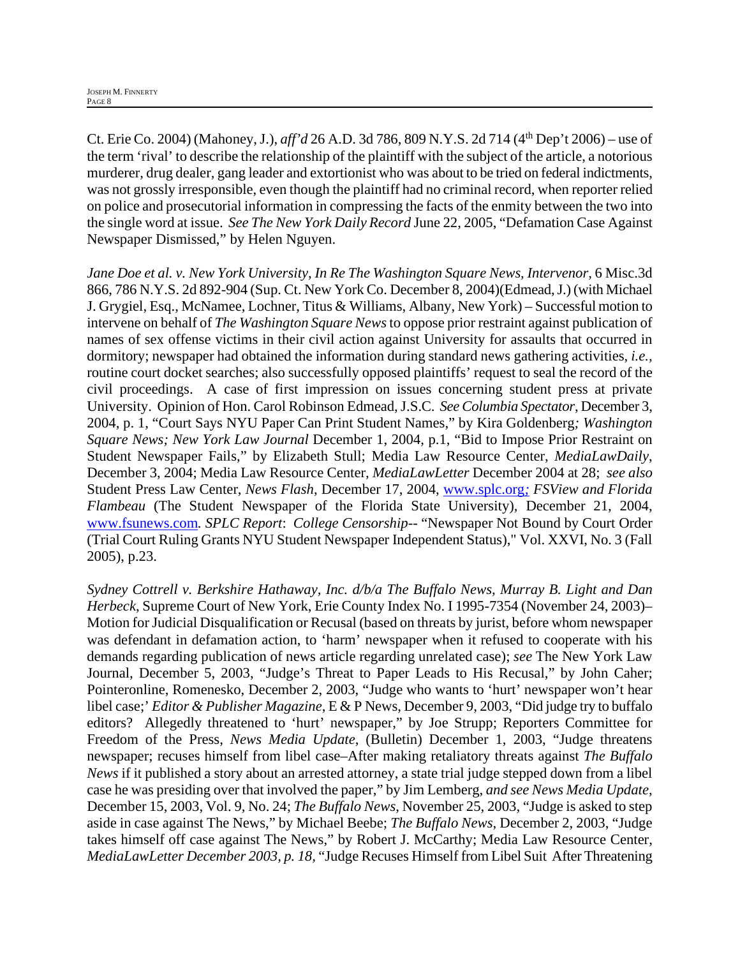Ct. Erie Co. 2004) (Mahoney, J.), *aff'd* 26 A.D. 3d 786, 809 N.Y.S. 2d 714 (4th Dep't 2006) – use of the term 'rival' to describe the relationship of the plaintiff with the subject of the article, a notorious murderer, drug dealer, gang leader and extortionist who was about to be tried on federal indictments, was not grossly irresponsible, even though the plaintiff had no criminal record, when reporter relied on police and prosecutorial information in compressing the facts of the enmity between the two into the single word at issue. *See The New York Daily Record* June 22, 2005, "Defamation Case Against Newspaper Dismissed," by Helen Nguyen.

*Jane Doe et al. v. New York University, In Re The Washington Square News, Intervenor,* 6 Misc.3d 866, 786 N.Y.S. 2d 892-904 (Sup. Ct. New York Co. December 8, 2004)(Edmead, J.) (with Michael J. Grygiel, Esq., McNamee, Lochner, Titus & Williams, Albany, New York) – Successful motion to intervene on behalf of *The Washington Square News* to oppose prior restraint against publication of names of sex offense victims in their civil action against University for assaults that occurred in dormitory; newspaper had obtained the information during standard news gathering activities, *i.e.,* routine court docket searches; also successfully opposed plaintiffs' request to seal the record of the civil proceedings. A case of first impression on issues concerning student press at private University. Opinion of Hon. Carol Robinson Edmead, J.S.C. *SeeColumbia Spectator*, December 3, 2004, p. 1, "Court Says NYU Paper Can Print Student Names," by Kira Goldenberg*; Washington Square News; New York Law Journal* December 1, 2004, p.1, "Bid to Impose Prior Restraint on Student Newspaper Fails," by Elizabeth Stull; Media Law Resource Center, *MediaLawDaily*, December 3, 2004; Media Law Resource Center, *MediaLawLetter* December 2004 at 28; *see also* Student Press Law Center, *News Flash*, December 17, 2004, www.splc.org*; FSView and Florida Flambeau* (The Student Newspaper of the Florida State University), December 21, 2004, www.fsunews.com*. SPLC Report*: *College Censorship*-- "Newspaper Not Bound by Court Order (Trial Court Ruling Grants NYU Student Newspaper Independent Status)," Vol. XXVI, No. 3 (Fall 2005), p.23.

*Sydney Cottrell v. Berkshire Hathaway, Inc. d/b/a The Buffalo News, Murray B. Light and Dan Herbeck*, Supreme Court of New York, Erie County Index No. I 1995-7354 (November 24, 2003)– Motion for Judicial Disqualification or Recusal (based on threats by jurist, before whom newspaper was defendant in defamation action, to 'harm' newspaper when it refused to cooperate with his demands regarding publication of news article regarding unrelated case); *see* The New York Law Journal, December 5, 2003, "Judge's Threat to Paper Leads to His Recusal," by John Caher; Pointeronline, Romenesko, December 2, 2003, "Judge who wants to 'hurt' newspaper won't hear libel case;' *Editor & Publisher Magazine*, E & P News, December 9, 2003, "Did judge try to buffalo editors? Allegedly threatened to 'hurt' newspaper," by Joe Strupp; Reporters Committee for Freedom of the Press, *News Media Update*, (Bulletin) December 1, 2003, "Judge threatens newspaper; recuses himself from libel case–After making retaliatory threats against *The Buffalo News* if it published a story about an arrested attorney, a state trial judge stepped down from a libel case he was presiding over that involved the paper," by Jim Lemberg, *and see News Media Update*, December 15, 2003, Vol. 9, No. 24; *The Buffalo News*, November 25, 2003, "Judge is asked to step aside in case against The News," by Michael Beebe; *The Buffalo News*, December 2, 2003, "Judge takes himself off case against The News," by Robert J. McCarthy; Media Law Resource Center, *MediaLawLetter December 2003, p. 18,* "Judge Recuses Himself from Libel Suit After Threatening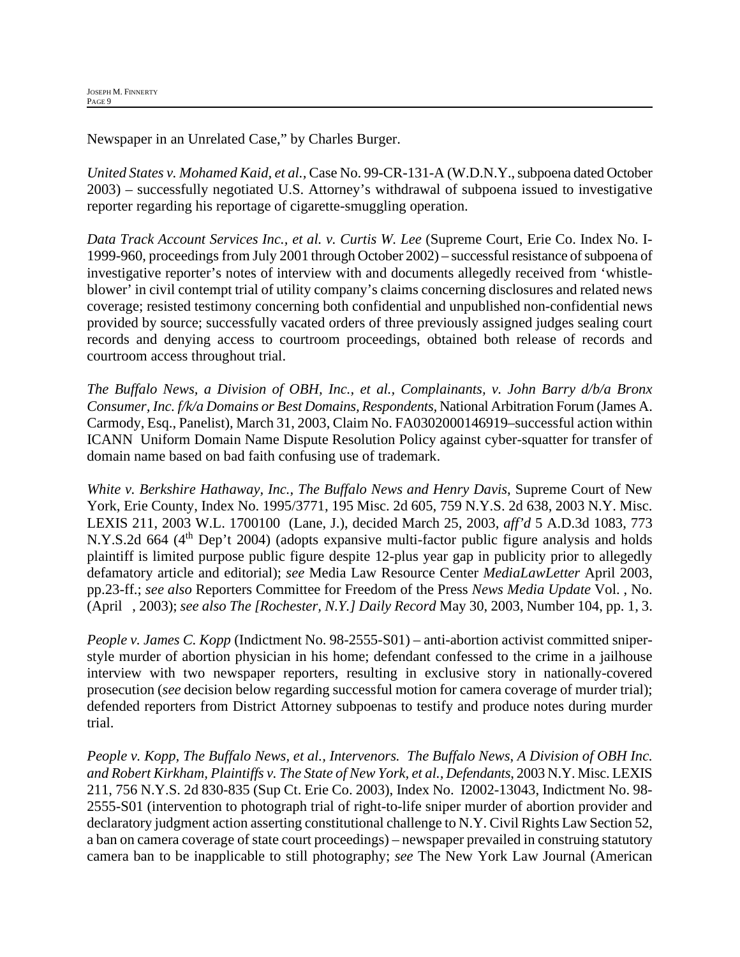Newspaper in an Unrelated Case," by Charles Burger.

*United States v. Mohamed Kaid, et al.,* Case No. 99-CR-131-A (W.D.N.Y., subpoena dated October 2003) – successfully negotiated U.S. Attorney's withdrawal of subpoena issued to investigative reporter regarding his reportage of cigarette-smuggling operation.

*Data Track Account Services Inc., et al. v. Curtis W. Lee* (Supreme Court, Erie Co. Index No. I-1999-960, proceedings from July 2001 through October 2002) – successful resistance of subpoena of investigative reporter's notes of interview with and documents allegedly received from 'whistleblower' in civil contempt trial of utility company's claims concerning disclosures and related news coverage; resisted testimony concerning both confidential and unpublished non-confidential news provided by source; successfully vacated orders of three previously assigned judges sealing court records and denying access to courtroom proceedings, obtained both release of records and courtroom access throughout trial.

*The Buffalo News, a Division of OBH, Inc., et al., Complainants, v. John Barry d/b/a Bronx Consumer, Inc. f/k/a Domains or Best Domains, Respondents,* National Arbitration Forum (James A. Carmody, Esq., Panelist), March 31, 2003, Claim No. FA0302000146919–successful action within ICANN Uniform Domain Name Dispute Resolution Policy against cyber-squatter for transfer of domain name based on bad faith confusing use of trademark.

*White v. Berkshire Hathaway, Inc., The Buffalo News and Henry Davis*, Supreme Court of New York, Erie County, Index No. 1995/3771, 195 Misc. 2d 605, 759 N.Y.S. 2d 638, 2003 N.Y. Misc. LEXIS 211, 2003 W.L. 1700100 (Lane, J.), decided March 25, 2003, *aff'd* 5 A.D.3d 1083, 773 N.Y.S.2d 664 (4<sup>th</sup> Dep't 2004) (adopts expansive multi-factor public figure analysis and holds plaintiff is limited purpose public figure despite 12-plus year gap in publicity prior to allegedly defamatory article and editorial); *see* Media Law Resource Center *MediaLawLetter* April 2003, pp.23-ff.; *see also* Reporters Committee for Freedom of the Press *News Media Update* Vol. , No. (April , 2003); *see also The [Rochester, N.Y.] Daily Record* May 30, 2003, Number 104, pp. 1, 3.

*People v. James C. Kopp* (Indictment No. 98-2555-S01) – anti-abortion activist committed sniperstyle murder of abortion physician in his home; defendant confessed to the crime in a jailhouse interview with two newspaper reporters, resulting in exclusive story in nationally-covered prosecution (*see* decision below regarding successful motion for camera coverage of murder trial); defended reporters from District Attorney subpoenas to testify and produce notes during murder trial.

*People v. Kopp, The Buffalo News, et al., Intervenors. The Buffalo News*, *A Division of OBH Inc. and Robert Kirkham, Plaintiffs v. The State of New York, et al., Defendants*, 2003 N.Y. Misc. LEXIS 211, 756 N.Y.S. 2d 830-835 (Sup Ct. Erie Co. 2003), Index No. I2002-13043, Indictment No. 98- 2555-S01 (intervention to photograph trial of right-to-life sniper murder of abortion provider and declaratory judgment action asserting constitutional challenge to N.Y. Civil Rights Law Section 52, a ban on camera coverage of state court proceedings) – newspaper prevailed in construing statutory camera ban to be inapplicable to still photography; *see* The New York Law Journal (American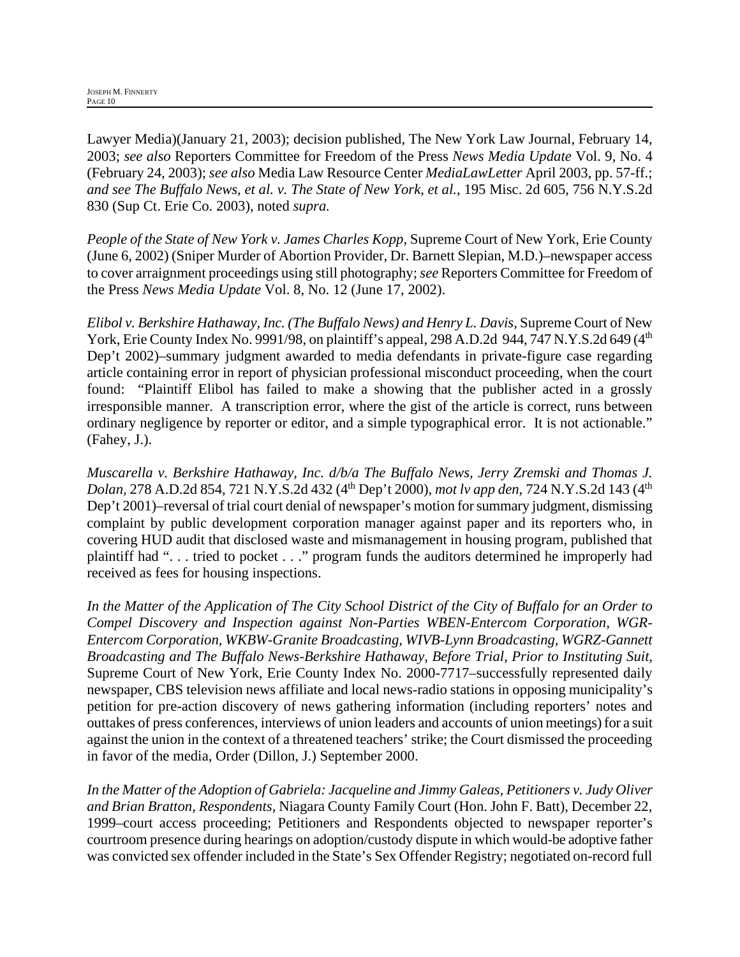Lawyer Media)(January 21, 2003); decision published, The New York Law Journal, February 14, 2003; *see also* Reporters Committee for Freedom of the Press *News Media Update* Vol. 9, No. 4 (February 24, 2003); *see also* Media Law Resource Center *MediaLawLetter* April 2003, pp. 57-ff.; *and see The Buffalo News, et al. v. The State of New York, et al.*, 195 Misc. 2d 605, 756 N.Y.S.2d 830 (Sup Ct. Erie Co. 2003), noted *supra.*

*People of the State of New York v. James Charles Kopp*, Supreme Court of New York, Erie County (June 6, 2002) (Sniper Murder of Abortion Provider, Dr. Barnett Slepian, M.D.)–newspaper access to cover arraignment proceedings using still photography; *see* Reporters Committee for Freedom of the Press *News Media Update* Vol. 8, No. 12 (June 17, 2002).

*Elibol v. Berkshire Hathaway, Inc. (The Buffalo News) and Henry L. Davis,* Supreme Court of New York, Erie County Index No. 9991/98, on plaintiff's appeal, 298 A.D.2d 944, 747 N.Y.S.2d 649 (4<sup>th</sup>) Dep't 2002)–summary judgment awarded to media defendants in private-figure case regarding article containing error in report of physician professional misconduct proceeding, when the court found: "Plaintiff Elibol has failed to make a showing that the publisher acted in a grossly irresponsible manner. A transcription error, where the gist of the article is correct, runs between ordinary negligence by reporter or editor, and a simple typographical error. It is not actionable." (Fahey, J.).

*Muscarella v. Berkshire Hathaway, Inc. d/b/a The Buffalo News, Jerry Zremski and Thomas J. Dolan,* 278 A.D.2d 854, 721 N.Y.S.2d 432 (4<sup>th</sup> Dep't 2000), *mot lv app den,* 724 N.Y.S.2d 143 (4<sup>th</sup>) Dep't 2001)–reversal of trial court denial of newspaper's motion for summary judgment, dismissing complaint by public development corporation manager against paper and its reporters who, in covering HUD audit that disclosed waste and mismanagement in housing program, published that plaintiff had ". . . tried to pocket . . ." program funds the auditors determined he improperly had received as fees for housing inspections.

*In the Matter of the Application of The City School District of the City of Buffalo for an Order to Compel Discovery and Inspection against Non-Parties WBEN-Entercom Corporation, WGR-Entercom Corporation, WKBW-Granite Broadcasting, WIVB-Lynn Broadcasting, WGRZ-Gannett Broadcasting and The Buffalo News-Berkshire Hathaway, Before Trial, Prior to Instituting Suit,*  Supreme Court of New York, Erie County Index No. 2000-7717–successfully represented daily newspaper, CBS television news affiliate and local news-radio stations in opposing municipality's petition for pre-action discovery of news gathering information (including reporters' notes and outtakes of press conferences, interviews of union leaders and accounts of union meetings) for a suit against the union in the context of a threatened teachers' strike; the Court dismissed the proceeding in favor of the media, Order (Dillon, J.) September 2000.

*In the Matter of the Adoption of Gabriela: Jacqueline and Jimmy Galeas, Petitioners v. Judy Oliver and Brian Bratton, Respondents,* Niagara County Family Court (Hon. John F. Batt), December 22, 1999–court access proceeding; Petitioners and Respondents objected to newspaper reporter's courtroom presence during hearings on adoption/custody dispute in which would-be adoptive father was convicted sex offender included in the State's Sex Offender Registry; negotiated on-record full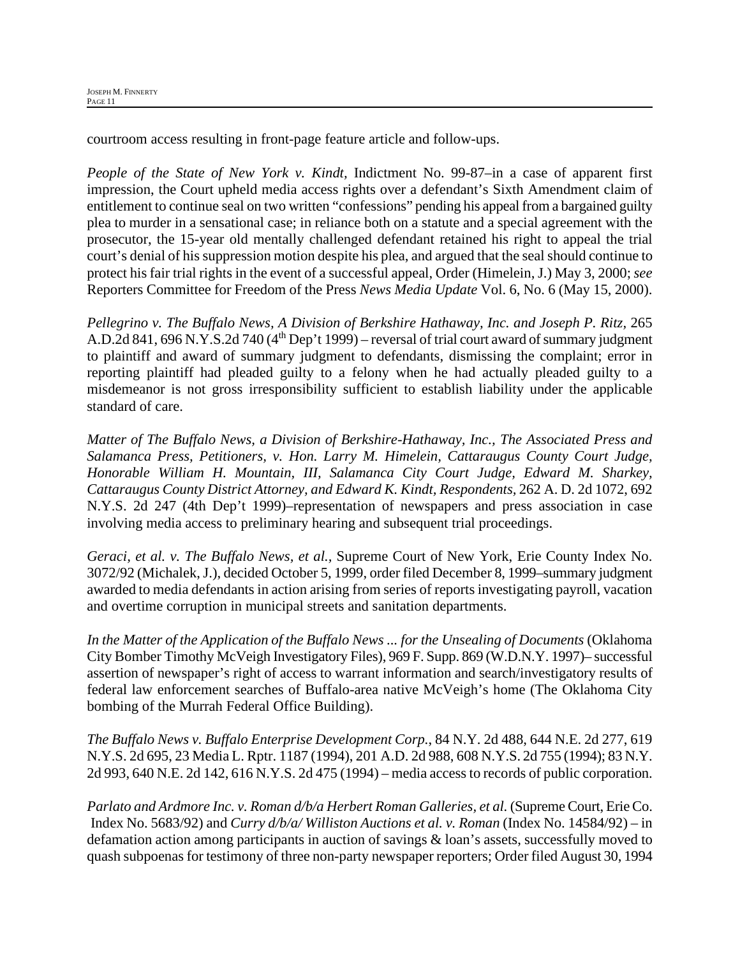courtroom access resulting in front-page feature article and follow-ups.

*People of the State of New York v. Kindt,* Indictment No. 99-87–in a case of apparent first impression, the Court upheld media access rights over a defendant's Sixth Amendment claim of entitlement to continue seal on two written "confessions" pending his appeal from a bargained guilty plea to murder in a sensational case; in reliance both on a statute and a special agreement with the prosecutor, the 15-year old mentally challenged defendant retained his right to appeal the trial court's denial of his suppression motion despite his plea, and argued that the seal should continue to protect his fair trial rights in the event of a successful appeal, Order (Himelein, J.) May 3, 2000; *see*  Reporters Committee for Freedom of the Press *News Media Update* Vol. 6, No. 6 (May 15, 2000).

*Pellegrino v. The Buffalo News, A Division of Berkshire Hathaway, Inc. and Joseph P. Ritz,* 265 A.D.2d 841, 696 N.Y.S.2d 740 ( $4<sup>th</sup>$  Dep't 1999) – reversal of trial court award of summary judgment to plaintiff and award of summary judgment to defendants, dismissing the complaint; error in reporting plaintiff had pleaded guilty to a felony when he had actually pleaded guilty to a misdemeanor is not gross irresponsibility sufficient to establish liability under the applicable standard of care.

*Matter of The Buffalo News, a Division of Berkshire-Hathaway, Inc., The Associated Press and Salamanca Press, Petitioners, v. Hon. Larry M. Himelein, Cattaraugus County Court Judge, Honorable William H. Mountain, III, Salamanca City Court Judge, Edward M. Sharkey, Cattaraugus County District Attorney, and Edward K. Kindt, Respondents,* 262 A. D. 2d 1072, 692 N.Y.S. 2d 247 (4th Dep't 1999)–representation of newspapers and press association in case involving media access to preliminary hearing and subsequent trial proceedings.

*Geraci, et al. v. The Buffalo News, et al.,* Supreme Court of New York, Erie County Index No. 3072/92 (Michalek, J.), decided October 5, 1999, order filed December 8, 1999–summary judgment awarded to media defendants in action arising from series of reports investigating payroll, vacation and overtime corruption in municipal streets and sanitation departments.

*In the Matter of the Application of the Buffalo News ... for the Unsealing of Documents* (Oklahoma City Bomber Timothy McVeigh Investigatory Files), 969 F. Supp. 869 (W.D.N.Y. 1997)– successful assertion of newspaper's right of access to warrant information and search/investigatory results of federal law enforcement searches of Buffalo-area native McVeigh's home (The Oklahoma City bombing of the Murrah Federal Office Building).

*The Buffalo News v. Buffalo Enterprise Development Corp.*, 84 N.Y. 2d 488, 644 N.E. 2d 277, 619 N.Y.S. 2d 695, 23 Media L. Rptr. 1187 (1994), 201 A.D. 2d 988, 608 N.Y.S. 2d 755 (1994); 83 N.Y. 2d 993, 640 N.E. 2d 142, 616 N.Y.S. 2d 475 (1994) – media access to records of public corporation.

*Parlato and Ardmore Inc. v. Roman d/b/a Herbert Roman Galleries, et al.* (Supreme Court, Erie Co. Index No. 5683/92) and *Curry d/b/a/ Williston Auctions et al. v. Roman* (Index No. 14584/92) – in defamation action among participants in auction of savings & loan's assets, successfully moved to quash subpoenas for testimony of three non-party newspaper reporters; Order filed August 30, 1994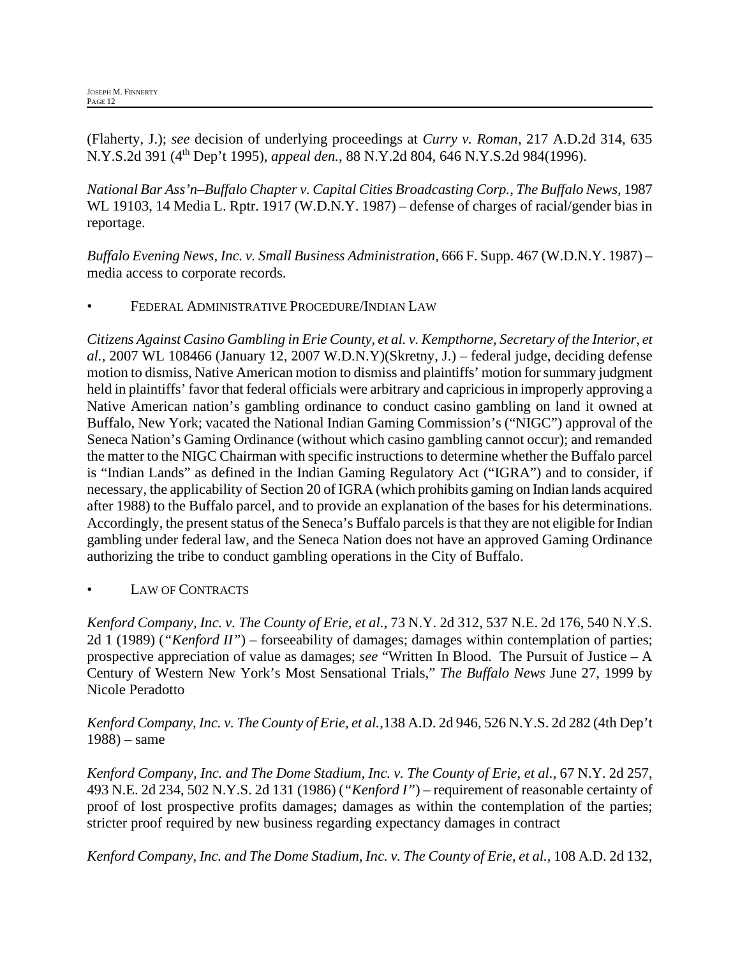(Flaherty, J.); *see* decision of underlying proceedings at *Curry v. Roman*, 217 A.D.2d 314, 635 N.Y.S.2d 391 (4th Dep't 1995), *appeal den.*, 88 N.Y.2d 804, 646 N.Y.S.2d 984(1996).

*National Bar Ass'n–Buffalo Chapter v. Capital Cities Broadcasting Corp., The Buffalo News,* 1987 WL 19103, 14 Media L. Rptr. 1917 (W.D.N.Y. 1987) – defense of charges of racial/gender bias in reportage.

*Buffalo Evening News, Inc. v. Small Business Administration*, 666 F. Supp. 467 (W.D.N.Y. 1987) – media access to corporate records.

• FEDERAL ADMINISTRATIVE PROCEDURE/INDIAN LAW

*Citizens Against Casino Gambling in Erie County, et al. v. Kempthorne, Secretary of the Interior, et al.*, 2007 WL 108466 (January 12, 2007 W.D.N.Y)(Skretny, J.) – federal judge, deciding defense motion to dismiss, Native American motion to dismiss and plaintiffs' motion for summary judgment held in plaintiffs' favor that federal officials were arbitrary and capricious in improperly approving a Native American nation's gambling ordinance to conduct casino gambling on land it owned at Buffalo, New York; vacated the National Indian Gaming Commission's ("NIGC") approval of the Seneca Nation's Gaming Ordinance (without which casino gambling cannot occur); and remanded the matter to the NIGC Chairman with specific instructions to determine whether the Buffalo parcel is "Indian Lands" as defined in the Indian Gaming Regulatory Act ("IGRA") and to consider, if necessary, the applicability of Section 20 of IGRA (which prohibits gaming on Indian lands acquired after 1988) to the Buffalo parcel, and to provide an explanation of the bases for his determinations. Accordingly, the present status of the Seneca's Buffalo parcels is that they are not eligible for Indian gambling under federal law, and the Seneca Nation does not have an approved Gaming Ordinance authorizing the tribe to conduct gambling operations in the City of Buffalo.

# LAW OF CONTRACTS

*Kenford Company, Inc. v. The County of Erie, et al.,* 73 N.Y. 2d 312, 537 N.E. 2d 176, 540 N.Y.S. 2d 1 (1989) (*"Kenford II"*) – forseeability of damages; damages within contemplation of parties; prospective appreciation of value as damages; *see* "Written In Blood. The Pursuit of Justice – A Century of Western New York's Most Sensational Trials," *The Buffalo News* June 27, 1999 by Nicole Peradotto

*Kenford Company, Inc. v. The County of Erie, et al.,*138 A.D. 2d 946, 526 N.Y.S. 2d 282 (4th Dep't 1988) – same

*Kenford Company, Inc. and The Dome Stadium, Inc. v. The County of Erie, et al.*, 67 N.Y. 2d 257, 493 N.E. 2d 234, 502 N.Y.S. 2d 131 (1986) (*"Kenford I"*) – requirement of reasonable certainty of proof of lost prospective profits damages; damages as within the contemplation of the parties; stricter proof required by new business regarding expectancy damages in contract

*Kenford Company, Inc. and The Dome Stadium, Inc. v. The County of Erie, et al.,* 108 A.D. 2d 132,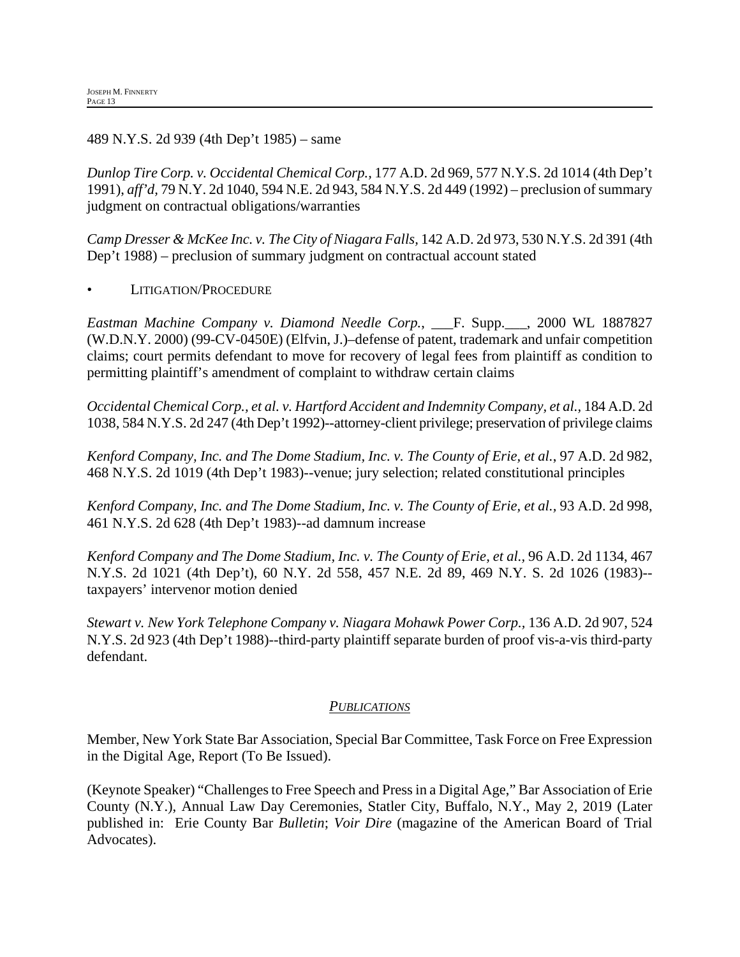489 N.Y.S. 2d 939 (4th Dep't 1985) – same

*Dunlop Tire Corp. v. Occidental Chemical Corp.,* 177 A.D. 2d 969, 577 N.Y.S. 2d 1014 (4th Dep't 1991), *aff'd,* 79 N.Y. 2d 1040, 594 N.E. 2d 943, 584 N.Y.S. 2d 449 (1992) – preclusion of summary judgment on contractual obligations/warranties

*Camp Dresser & McKee Inc. v. The City of Niagara Falls,* 142 A.D. 2d 973, 530 N.Y.S. 2d 391 (4th Dep't 1988) – preclusion of summary judgment on contractual account stated

• LITIGATION/PROCEDURE

*Eastman Machine Company v. Diamond Needle Corp.*, \_\_\_F. Supp.\_\_\_, 2000 WL 1887827 (W.D.N.Y. 2000) (99-CV-0450E) (Elfvin, J.)–defense of patent, trademark and unfair competition claims; court permits defendant to move for recovery of legal fees from plaintiff as condition to permitting plaintiff's amendment of complaint to withdraw certain claims

*Occidental Chemical Corp., et al. v. Hartford Accident and Indemnity Company, et al.,* 184 A.D. 2d 1038, 584 N.Y.S. 2d 247 (4th Dep't 1992)--attorney-client privilege; preservation of privilege claims

*Kenford Company, Inc. and The Dome Stadium, Inc. v. The County of Erie, et al.*, 97 A.D. 2d 982, 468 N.Y.S. 2d 1019 (4th Dep't 1983)--venue; jury selection; related constitutional principles

*Kenford Company, Inc. and The Dome Stadium, Inc. v. The County of Erie, et al.,* 93 A.D. 2d 998, 461 N.Y.S. 2d 628 (4th Dep't 1983)--ad damnum increase

*Kenford Company and The Dome Stadium, Inc. v. The County of Erie, et al.,* 96 A.D. 2d 1134, 467 N.Y.S. 2d 1021 (4th Dep't), 60 N.Y. 2d 558, 457 N.E. 2d 89, 469 N.Y. S. 2d 1026 (1983)- taxpayers' intervenor motion denied

*Stewart v. New York Telephone Company v. Niagara Mohawk Power Corp.,* 136 A.D. 2d 907, 524 N.Y.S. 2d 923 (4th Dep't 1988)--third-party plaintiff separate burden of proof vis-a-vis third-party defendant.

#### *PUBLICATIONS*

Member, New York State Bar Association, Special Bar Committee, Task Force on Free Expression in the Digital Age, Report (To Be Issued).

(Keynote Speaker) "Challenges to Free Speech and Press in a Digital Age," Bar Association of Erie County (N.Y.), Annual Law Day Ceremonies, Statler City, Buffalo, N.Y., May 2, 2019 (Later published in: Erie County Bar *Bulletin*; *Voir Dire* (magazine of the American Board of Trial Advocates).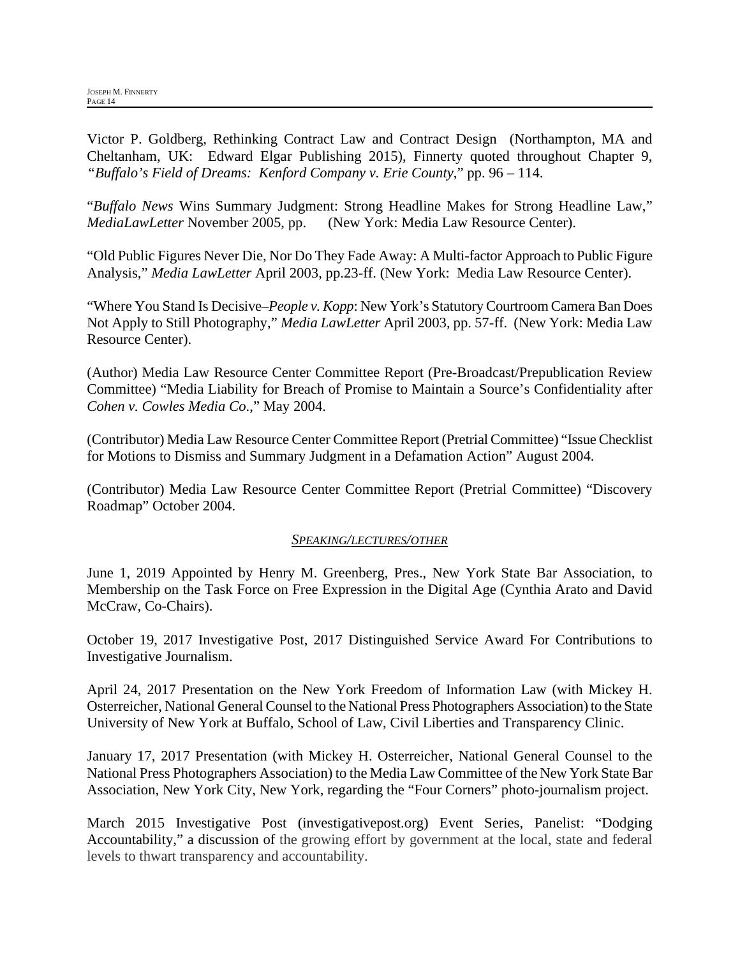Victor P. Goldberg, Rethinking Contract Law and Contract Design (Northampton, MA and Cheltanham, UK: Edward Elgar Publishing 2015), Finnerty quoted throughout Chapter 9, *"Buffalo's Field of Dreams: Kenford Company v. Erie County*," pp. 96 – 114.

"*Buffalo News* Wins Summary Judgment: Strong Headline Makes for Strong Headline Law," *MediaLawLetter* November 2005, pp. (New York: Media Law Resource Center).

"Old Public Figures Never Die, Nor Do They Fade Away: A Multi-factor Approach to Public Figure Analysis," *Media LawLetter* April 2003, pp.23-ff. (New York: Media Law Resource Center).

"Where You Stand Is Decisive–*People v. Kopp*: New York's Statutory Courtroom Camera Ban Does Not Apply to Still Photography," *Media LawLetter* April 2003, pp. 57-ff. (New York: Media Law Resource Center).

(Author) Media Law Resource Center Committee Report (Pre-Broadcast/Prepublication Review Committee) "Media Liability for Breach of Promise to Maintain a Source's Confidentiality after *Cohen v. Cowles Media Co*.," May 2004.

(Contributor) Media Law Resource Center Committee Report (Pretrial Committee) "Issue Checklist for Motions to Dismiss and Summary Judgment in a Defamation Action" August 2004.

(Contributor) Media Law Resource Center Committee Report (Pretrial Committee) "Discovery Roadmap" October 2004.

## *SPEAKING/LECTURES/OTHER*

June 1, 2019 Appointed by Henry M. Greenberg, Pres., New York State Bar Association, to Membership on the Task Force on Free Expression in the Digital Age (Cynthia Arato and David McCraw, Co-Chairs).

October 19, 2017 Investigative Post, 2017 Distinguished Service Award For Contributions to Investigative Journalism.

April 24, 2017 Presentation on the New York Freedom of Information Law (with Mickey H. Osterreicher, National General Counsel to the National Press Photographers Association) to the State University of New York at Buffalo, School of Law, Civil Liberties and Transparency Clinic.

January 17, 2017 Presentation (with Mickey H. Osterreicher, National General Counsel to the National Press Photographers Association) to the Media Law Committee of the New York State Bar Association, New York City, New York, regarding the "Four Corners" photo-journalism project.

March 2015 Investigative Post (investigativepost.org) Event Series, Panelist: "Dodging Accountability," a discussion of the growing effort by government at the local, state and federal levels to thwart transparency and accountability.